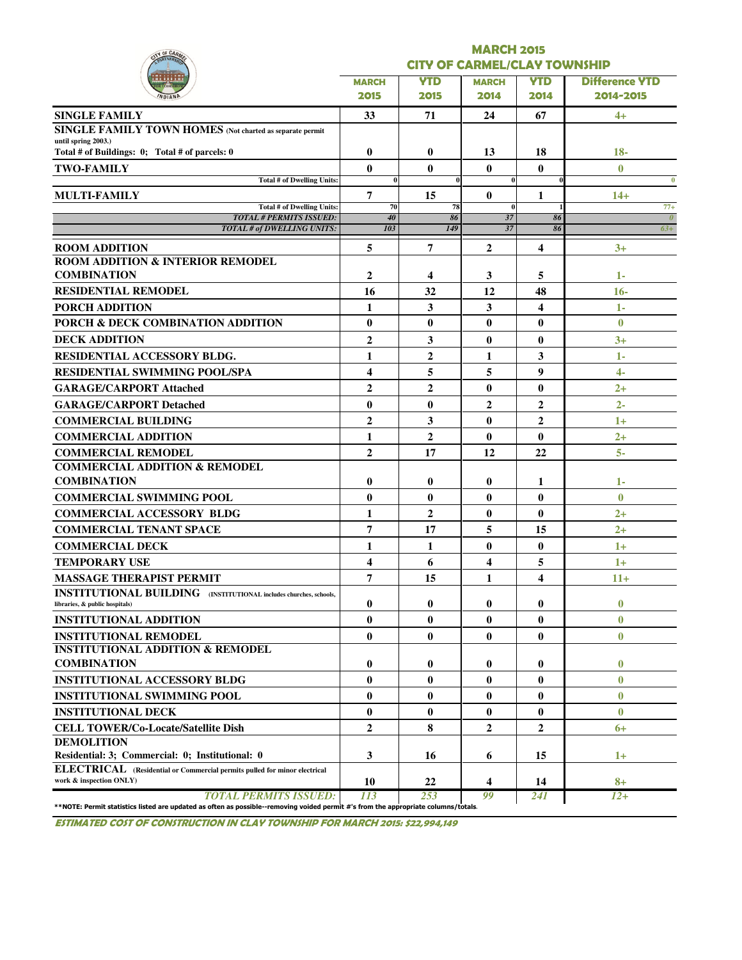| Y OF CAR                                                                                                                                                           |                                     |                | <b>MARCH 2015</b> |                  |                       |  |  |  |
|--------------------------------------------------------------------------------------------------------------------------------------------------------------------|-------------------------------------|----------------|-------------------|------------------|-----------------------|--|--|--|
|                                                                                                                                                                    | <b>CITY OF CARMEL/CLAY TOWNSHIP</b> |                |                   |                  |                       |  |  |  |
|                                                                                                                                                                    | <b>MARCH</b>                        | <b>YTD</b>     | <b>MARCH</b>      | <b>YTD</b>       | <b>Difference YTD</b> |  |  |  |
|                                                                                                                                                                    | 2015                                | 2015           | 2014              | 2014             | 2014-2015             |  |  |  |
| <b>SINGLE FAMILY</b>                                                                                                                                               | 33                                  | 71             | 24                | 67               | $4+$                  |  |  |  |
| <b>SINGLE FAMILY TOWN HOMES</b> (Not charted as separate permit                                                                                                    |                                     |                |                   |                  |                       |  |  |  |
| until spring 2003.)<br>Total # of Buildings: 0; Total # of parcels: 0                                                                                              | $\bf{0}$                            | $\bf{0}$       | 13                | 18               | $18 -$                |  |  |  |
| <b>TWO-FAMILY</b>                                                                                                                                                  | $\bf{0}$                            | $\mathbf{0}$   | $\bf{0}$          | $\bf{0}$         | $\mathbf{0}$          |  |  |  |
| <b>Total # of Dwelling Units:</b>                                                                                                                                  | $\bf{0}$                            |                | $\bf{0}$          |                  | $\bf{0}$              |  |  |  |
| MULTI-FAMILY                                                                                                                                                       | 7                                   | 15             | $\bf{0}$          | 1                | $14+$                 |  |  |  |
| Total # of Dwelling Units:<br><b>TOTAL # PERMITS ISSUED:</b>                                                                                                       | 70<br>40                            | 78<br>86       | $\bf{0}$<br>37    | 86               | $77+$<br>$\theta$     |  |  |  |
| <b>TOTAL # of DWELLING UNITS:</b>                                                                                                                                  | 103                                 | 149            | 37                | 86               | $63+$                 |  |  |  |
| <b>ROOM ADDITION</b>                                                                                                                                               | 5                                   | 7              | $\mathbf{2}$      | 4                | $3+$                  |  |  |  |
| <b>ROOM ADDITION &amp; INTERIOR REMODEL</b>                                                                                                                        |                                     |                |                   |                  |                       |  |  |  |
| <b>COMBINATION</b>                                                                                                                                                 | $\mathbf{2}$                        | 4              | 3                 | 5                | 1-                    |  |  |  |
| <b>RESIDENTIAL REMODEL</b>                                                                                                                                         | 16                                  | 32             | 12                | 48               | $16-$                 |  |  |  |
| PORCH ADDITION                                                                                                                                                     | 1                                   | 3              | 3                 | 4                | $1-$                  |  |  |  |
| PORCH & DECK COMBINATION ADDITION                                                                                                                                  | $\bf{0}$                            | $\mathbf{0}$   | $\bf{0}$          | $\bf{0}$         | $\bf{0}$              |  |  |  |
| <b>DECK ADDITION</b>                                                                                                                                               | $\mathbf{2}$                        | 3              | $\bf{0}$          | $\bf{0}$         | $3+$                  |  |  |  |
| <b>RESIDENTIAL ACCESSORY BLDG.</b>                                                                                                                                 | 1                                   | $\overline{2}$ | 1                 | 3                | 1-                    |  |  |  |
| <b>RESIDENTIAL SWIMMING POOL/SPA</b>                                                                                                                               | 4                                   | 5              | 5                 | $\boldsymbol{9}$ | $4-$                  |  |  |  |
| <b>GARAGE/CARPORT Attached</b>                                                                                                                                     | $\overline{2}$                      | $\overline{2}$ | $\bf{0}$          | $\bf{0}$         | $2+$                  |  |  |  |
| <b>GARAGE/CARPORT Detached</b>                                                                                                                                     | $\bf{0}$                            | $\mathbf{0}$   | $\mathbf{2}$      | $\overline{2}$   | $2 -$                 |  |  |  |
| <b>COMMERCIAL BUILDING</b>                                                                                                                                         | $\overline{2}$                      | 3              | $\bf{0}$          | $\boldsymbol{2}$ | $1+$                  |  |  |  |
| <b>COMMERCIAL ADDITION</b>                                                                                                                                         | 1                                   | $\overline{2}$ | $\bf{0}$          | $\bf{0}$         | $2+$                  |  |  |  |
| <b>COMMERCIAL REMODEL</b>                                                                                                                                          | $\mathbf{2}$                        | 17             | 12                | 22               | $5-$                  |  |  |  |
| <b>COMMERCIAL ADDITION &amp; REMODEL</b>                                                                                                                           |                                     |                |                   |                  |                       |  |  |  |
| <b>COMBINATION</b>                                                                                                                                                 | $\bf{0}$                            | $\bf{0}$       | 0                 | 1                | 1-                    |  |  |  |
| <b>COMMERCIAL SWIMMING POOL</b>                                                                                                                                    | $\bf{0}$                            | $\mathbf{0}$   | $\bf{0}$          | $\bf{0}$         | $\mathbf{0}$          |  |  |  |
| <b>COMMERCIAL ACCESSORY BLDG</b>                                                                                                                                   | $\mathbf{1}$                        | $\overline{2}$ | $\bf{0}$          | $\mathbf{0}$     | $2+$                  |  |  |  |
| <b>COMMERCIAL TENANT SPACE</b>                                                                                                                                     | 7                                   | 17             | 5                 | 15               | $2+$                  |  |  |  |
| <b>COMMERCIAL DECK</b>                                                                                                                                             | 1                                   | 1              | $\bf{0}$          | $\bf{0}$         | $1+$                  |  |  |  |
| <b>TEMPORARY USE</b>                                                                                                                                               | $\overline{\mathbf{4}}$             | 6              | 4                 | 5                | $1+$                  |  |  |  |
| <b>MASSAGE THERAPIST PERMIT</b>                                                                                                                                    | 7                                   | 15             | 1                 | 4                | $11+$                 |  |  |  |
| <b>INSTITUTIONAL BUILDING</b> (INSTITUTIONAL includes churches, schools,<br>libraries, & public hospitals)                                                         | 0                                   | $\bf{0}$       | 0                 | $\bf{0}$         | $\bf{0}$              |  |  |  |
| <b>INSTITUTIONAL ADDITION</b>                                                                                                                                      | $\bf{0}$                            | $\bf{0}$       | $\bf{0}$          | $\bf{0}$         | $\bf{0}$              |  |  |  |
| <b>INSTITUTIONAL REMODEL</b>                                                                                                                                       | $\bf{0}$                            | $\bf{0}$       | $\bf{0}$          | $\bf{0}$         | $\bf{0}$              |  |  |  |
| <b>INSTITUTIONAL ADDITION &amp; REMODEL</b>                                                                                                                        |                                     |                |                   |                  |                       |  |  |  |
| <b>COMBINATION</b>                                                                                                                                                 | $\bf{0}$                            | 0              | 0                 | $\bf{0}$         | $\bf{0}$              |  |  |  |
| <b>INSTITUTIONAL ACCESSORY BLDG</b>                                                                                                                                | $\bf{0}$                            | $\mathbf{0}$   | $\bf{0}$          | $\bf{0}$         | $\bf{0}$              |  |  |  |
| <b>INSTITUTIONAL SWIMMING POOL</b>                                                                                                                                 | $\bf{0}$                            | $\bf{0}$       | $\bf{0}$          | $\bf{0}$         | $\bf{0}$              |  |  |  |
| <b>INSTITUTIONAL DECK</b>                                                                                                                                          | $\bf{0}$                            | $\bf{0}$       | 0                 | $\bf{0}$         | $\mathbf{0}$          |  |  |  |
| <b>CELL TOWER/Co-Locate/Satellite Dish</b>                                                                                                                         | $\overline{2}$                      | 8              | 2                 | 2                | $6+$                  |  |  |  |
| <b>DEMOLITION</b>                                                                                                                                                  |                                     |                |                   |                  |                       |  |  |  |
| Residential: 3; Commercial: 0; Institutional: 0                                                                                                                    | 3                                   | 16             | 6                 | 15               | $1+$                  |  |  |  |
| ELECTRICAL (Residential or Commercial permits pulled for minor electrical<br>work & inspection ONLY)                                                               | 10                                  | 22             | 4                 | 14               | $8+$                  |  |  |  |
| <b>TOTAL PERMITS ISSUED:</b><br>**NOTE: Permit statistics listed are updated as often as possible--removing voided permit #'s from the appropriate columns/totals. | 113                                 | 253            | 99                | 241              | $12+$                 |  |  |  |

ESTIMATED COST OF CONSTRUCTION IN CLAY TOWNSHIP FOR MARCH 2015: \$22,994,149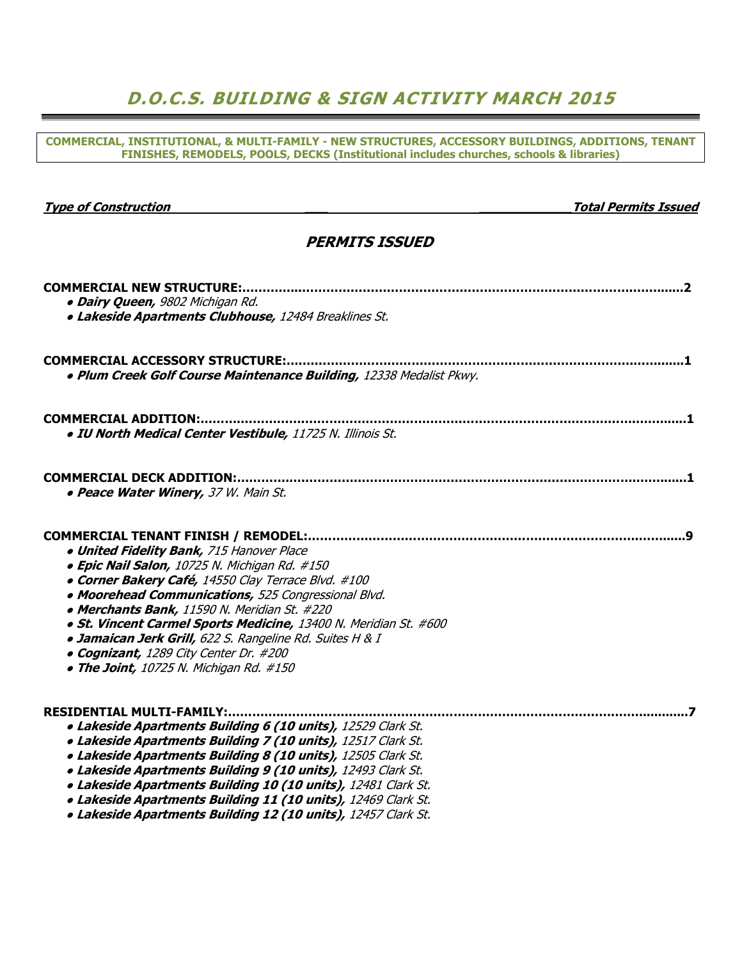## D.O.C.S. BUILDING & SIGN ACTIVITY MARCH 2015

COMMERCIAL, INSTITUTIONAL, & MULTI-FAMILY - NEW STRUCTURES, ACCESSORY BUILDINGS, ADDITIONS, TENANT FINISHES, REMODELS, POOLS, DECKS (Institutional includes churches, schools & libraries)

#### Type of Construction and the construction of the construction of the construction of the construction of the construction of the construction of the construction of the construction of the construction of the construction

### PERMITS ISSUED

| <b>COMMERCIAL NEW STRUCTURE:.</b><br>· Dairy Queen, 9802 Michigan Rd.<br>· Lakeside Apartments Clubhouse, 12484 Breaklines St.                                                                                                                                                                                                                                                                                                                                                                       |
|------------------------------------------------------------------------------------------------------------------------------------------------------------------------------------------------------------------------------------------------------------------------------------------------------------------------------------------------------------------------------------------------------------------------------------------------------------------------------------------------------|
| <b>COMMERCIAL ACCESSORY STRUCTURE:</b><br>. Plum Creek Golf Course Maintenance Building, 12338 Medalist Pkwy.                                                                                                                                                                                                                                                                                                                                                                                        |
| <b>COMMERCIAL ADDITION:</b><br>· IU North Medical Center Vestibule, 11725 N. Illinois St.                                                                                                                                                                                                                                                                                                                                                                                                            |
| <b>COMMERCIAL DECK ADDITION:</b><br>• Peace Water Winery, 37 W. Main St.                                                                                                                                                                                                                                                                                                                                                                                                                             |
| . United Fidelity Bank, 715 Hanover Place<br>· Epic Nail Salon, 10725 N. Michigan Rd. #150<br>• Corner Bakery Café, 14550 Clay Terrace Blvd. #100<br>• Moorehead Communications, 525 Congressional Blvd.<br>• Merchants Bank, 11590 N. Meridian St. #220<br>· St. Vincent Carmel Sports Medicine, 13400 N. Meridian St. #600<br>· Jamaican Jerk Grill, 622 S. Rangeline Rd. Suites H & I<br>• Cognizant, 1289 City Center Dr. #200<br>• The Joint, 10725 N. Michigan Rd. #150                        |
| <b>RESIDENTIAL MULTI-FAMILY:.</b><br>· Lakeside Apartments Building 6 (10 units), 12529 Clark St.<br>· Lakeside Apartments Building 7 (10 units), 12517 Clark St.<br>· Lakeside Apartments Building 8 (10 units), 12505 Clark St.<br>· Lakeside Apartments Building 9 (10 units), 12493 Clark St.<br>· Lakeside Apartments Building 10 (10 units), 12481 Clark St.<br>· Lakeside Apartments Building 11 (10 units), 12469 Clark St.<br>· Lakeside Apartments Building 12 (10 units), 12457 Clark St. |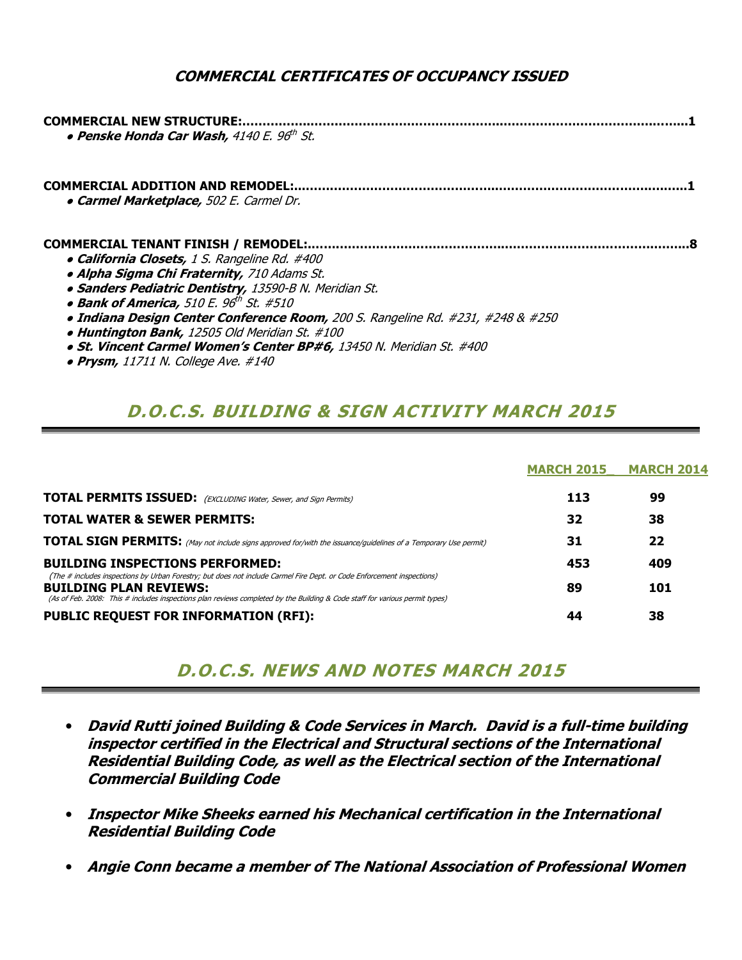### COMMERCIAL CERTIFICATES OF OCCUPANCY ISSUED

| <b>COMMERCIAL NEW STRUCTURE:.</b><br>• Penske Honda Car Wash, 4140 E. 96th St.     |
|------------------------------------------------------------------------------------|
| <b>COMMERCIAL ADDITION AND REMODEL:</b><br>• Carmel Marketplace, 502 E. Carmel Dr. |
| <b>COMMERCIAL TENANT FINISH / REMODEL:</b>                                         |
| • California Closets, 1 S. Rangeline Rd. #400                                      |
| . Alpha Sigma Chi Fraternity, 710 Adams St.                                        |
| · Sanders Pediatric Dentistry, 13590-B N. Meridian St.                             |
| • Bank of America, 510 E. $96th$ St. #510                                          |
| • Indiana Design Center Conference Room, 200 S. Rangeline Rd. #231, #248 & #250    |
| • Huntington Bank, 12505 Old Meridian St. #100                                     |
| • St. Vincent Carmel Women's Center BP#6, 13450 N. Meridian St. #400               |

● Prysm, 11711 N. College Ave. #140

## D.O.C.S. BUILDING & SIGN ACTIVITY MARCH 2015

|                                                                                                                                                                  | <b>MARCH 2015</b> | <b>MARCH 2014</b> |
|------------------------------------------------------------------------------------------------------------------------------------------------------------------|-------------------|-------------------|
| <b>TOTAL PERMITS ISSUED:</b> (EXCLUDING Water, Sewer, and Sign Permits)                                                                                          | 113               | 99                |
| <b>TOTAL WATER &amp; SEWER PERMITS:</b>                                                                                                                          | 32                | 38                |
| <b>TOTAL SIGN PERMITS:</b> (May not include signs approved for/with the issuance/guidelines of a Temporary Use permit)                                           | 31                | 22                |
| <b>BUILDING INSPECTIONS PERFORMED:</b><br>(The # includes inspections by Urban Forestry; but does not include Carmel Fire Dept. or Code Enforcement inspections) | 453               | 409               |
| <b>BUILDING PLAN REVIEWS:</b><br>(As of Feb. 2008: This # includes inspections plan reviews completed by the Building & Code staff for various permit types)     | 89                | 101               |
| <b>PUBLIC REQUEST FOR INFORMATION (RFI):</b>                                                                                                                     | 44                | 38                |

### D.O.C.S. NEWS AND NOTES MARCH 2015

- David Rutti joined Building & Code Services in March. David is a full-time building inspector certified in the Electrical and Structural sections of the International Residential Building Code, as well as the Electrical section of the International Commercial Building Code
- Inspector Mike Sheeks earned his Mechanical certification in the International Residential Building Code
- Angie Conn became a member of The National Association of Professional Women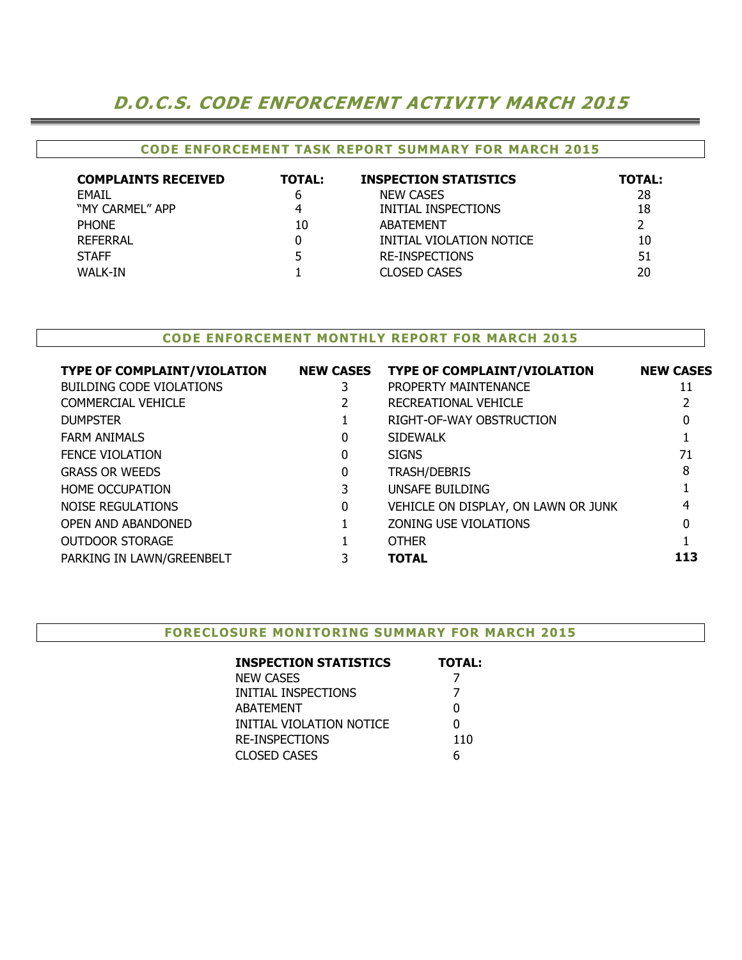## D.O.C.S. CODE ENFORCEMENT ACTIVITY MARCH 2015

#### CODE ENFORCEMENT TASK REPORT SUMMARY FOR MARCH 2015

| <b>COMPLAINTS RECEIVED</b><br>EMAIL<br>"MY CARMEL" APP<br><b>PHONE</b><br><b>REFERRAL</b> | <b>TOTAL:</b><br>4<br>10 | <b>INSPECTION STATISTICS</b><br><b>NEW CASES</b><br>INITIAL INSPECTIONS<br>ABATEMENT<br>INITIAL VIOLATION NOTICE | <b>TOTAL:</b><br>28<br>18<br>10 |
|-------------------------------------------------------------------------------------------|--------------------------|------------------------------------------------------------------------------------------------------------------|---------------------------------|
| <b>STAFF</b>                                                                              |                          | RE-INSPECTIONS                                                                                                   | 51                              |
| WALK-IN                                                                                   |                          | CLOSED CASES                                                                                                     | 20                              |

#### CODE ENFORCEMENT MONTHLY REPORT FOR MARCH 2015

| <b>TYPE OF COMPLAINT/VIOLATION</b> | <b>NEW CASES</b> | <b>TYPE OF COMPLAINT/VIOLATION</b>  | <b>NEW CASES</b> |
|------------------------------------|------------------|-------------------------------------|------------------|
| <b>BUILDING CODE VIOLATIONS</b>    |                  | PROPERTY MAINTENANCE                | 11               |
| <b>COMMERCIAL VEHICLE</b>          |                  | RECREATIONAL VEHICLE                |                  |
| <b>DUMPSTER</b>                    |                  | RIGHT-OF-WAY OBSTRUCTION            | 0                |
| <b>FARM ANIMALS</b>                | 0                | <b>SIDEWALK</b>                     |                  |
| <b>FENCE VIOLATION</b>             | 0                | <b>SIGNS</b>                        | 71               |
| <b>GRASS OR WEEDS</b>              | 0                | TRASH/DEBRIS                        | 8                |
| <b>HOME OCCUPATION</b>             |                  | <b>UNSAFE BUILDING</b>              |                  |
| NOISE REGULATIONS                  | 0                | VEHICLE ON DISPLAY, ON LAWN OR JUNK | 4                |
| OPEN AND ABANDONED                 |                  | ZONING USE VIOLATIONS               | 0                |
| <b>OUTDOOR STORAGE</b>             |                  | <b>OTHER</b>                        |                  |
| PARKING IN LAWN/GREENBELT          |                  | <b>TOTAL</b>                        | 113              |
|                                    |                  |                                     |                  |

#### FORECLOSURE MONITORING SUMMARY FOR MARCH 2015

| <b>INSPECTION STATISTICS</b> | <b>TOTAL:</b> |
|------------------------------|---------------|
| NEW CASES                    |               |
| INITIAL INSPECTIONS          |               |
| ABATEMENT                    | 0             |
| INITIAL VIOLATION NOTICE     | O             |
| RE-INSPECTIONS               | 110           |
| CLOSED CASES                 | 6             |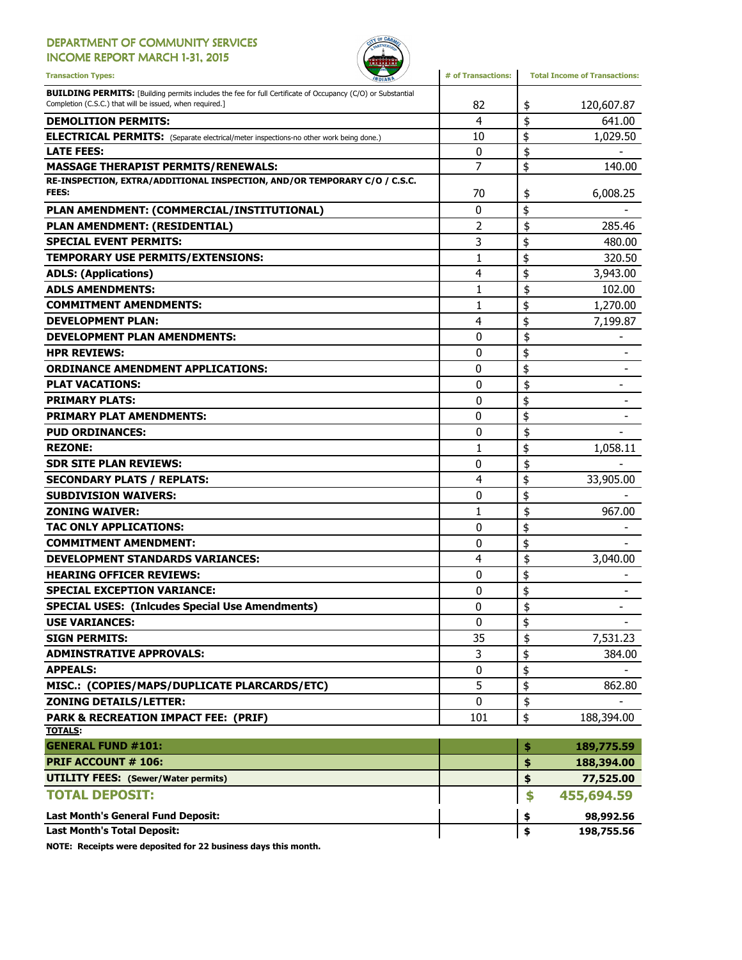## DEPARTMENT OF COMMUNITY SERVICES

INCOME REPORT MARCH 1-31, 2015



| <b>Transaction Types:</b><br><b>INDIANA</b>                                                                                                                                    | # of Transactions: | <b>Total Income of Transactions:</b> |
|--------------------------------------------------------------------------------------------------------------------------------------------------------------------------------|--------------------|--------------------------------------|
| <b>BUILDING PERMITS:</b> [Building permits includes the fee for full Certificate of Occupancy (C/O) or Substantial<br>Completion (C.S.C.) that will be issued, when required.] | 82                 | \$<br>120,607.87                     |
| <b>DEMOLITION PERMITS:</b>                                                                                                                                                     | 4                  | \$<br>641.00                         |
| <b>ELECTRICAL PERMITS:</b> (Separate electrical/meter inspections-no other work being done.)                                                                                   | 10                 | \$<br>1,029.50                       |
| <b>LATE FEES:</b>                                                                                                                                                              | 0                  | \$                                   |
| <b>MASSAGE THERAPIST PERMITS/RENEWALS:</b>                                                                                                                                     | 7                  | \$<br>140.00                         |
| RE-INSPECTION, EXTRA/ADDITIONAL INSPECTION, AND/OR TEMPORARY C/O / C.S.C.                                                                                                      |                    |                                      |
| FEES:                                                                                                                                                                          | 70                 | \$<br>6,008.25                       |
| PLAN AMENDMENT: (COMMERCIAL/INSTITUTIONAL)                                                                                                                                     | 0                  | \$                                   |
| PLAN AMENDMENT: (RESIDENTIAL)                                                                                                                                                  | 2                  | \$<br>285.46                         |
| <b>SPECIAL EVENT PERMITS:</b>                                                                                                                                                  | 3                  | \$<br>480.00                         |
| TEMPORARY USE PERMITS/EXTENSIONS:                                                                                                                                              | 1                  | \$<br>320.50                         |
| <b>ADLS: (Applications)</b>                                                                                                                                                    | 4                  | \$<br>3,943.00                       |
| <b>ADLS AMENDMENTS:</b>                                                                                                                                                        | 1                  | \$<br>102.00                         |
| <b>COMMITMENT AMENDMENTS:</b>                                                                                                                                                  | 1                  | \$<br>1,270.00                       |
| <b>DEVELOPMENT PLAN:</b>                                                                                                                                                       | 4                  | \$<br>7,199.87                       |
| <b>DEVELOPMENT PLAN AMENDMENTS:</b>                                                                                                                                            | 0                  | \$                                   |
| <b>HPR REVIEWS:</b>                                                                                                                                                            | 0                  | \$                                   |
| <b>ORDINANCE AMENDMENT APPLICATIONS:</b>                                                                                                                                       | 0                  | \$                                   |
| <b>PLAT VACATIONS:</b>                                                                                                                                                         | 0                  | \$                                   |
| <b>PRIMARY PLATS:</b>                                                                                                                                                          | 0                  | \$                                   |
| <b>PRIMARY PLAT AMENDMENTS:</b>                                                                                                                                                | 0                  | \$                                   |
| <b>PUD ORDINANCES:</b>                                                                                                                                                         | 0                  | \$                                   |
| <b>REZONE:</b>                                                                                                                                                                 | $\mathbf{1}$       | \$<br>1,058.11                       |
| <b>SDR SITE PLAN REVIEWS:</b>                                                                                                                                                  | 0                  | \$                                   |
| <b>SECONDARY PLATS / REPLATS:</b>                                                                                                                                              | 4                  | \$<br>33,905.00                      |
| <b>SUBDIVISION WAIVERS:</b>                                                                                                                                                    | 0                  | \$                                   |
| <b>ZONING WAIVER:</b>                                                                                                                                                          | 1                  | \$<br>967.00                         |
| <b>TAC ONLY APPLICATIONS:</b>                                                                                                                                                  | 0                  | \$                                   |
| <b>COMMITMENT AMENDMENT:</b>                                                                                                                                                   | 0                  | \$                                   |
| <b>DEVELOPMENT STANDARDS VARIANCES:</b>                                                                                                                                        | 4                  | \$<br>3,040.00                       |
| <b>HEARING OFFICER REVIEWS:</b>                                                                                                                                                | 0                  | \$                                   |
| <b>SPECIAL EXCEPTION VARIANCE:</b>                                                                                                                                             | 0                  | \$                                   |
| <b>SPECIAL USES: (Inlcudes Special Use Amendments)</b>                                                                                                                         | 0                  | \$                                   |
| <b>USE VARIANCES:</b>                                                                                                                                                          | 0                  | \$                                   |
| <b>SIGN PERMITS:</b>                                                                                                                                                           | 35                 | \$<br>7,531.23                       |
| <b>ADMINSTRATIVE APPROVALS:</b>                                                                                                                                                | 3                  | \$<br>384.00                         |
| <b>APPEALS:</b>                                                                                                                                                                | 0                  | \$                                   |
| MISC.: (COPIES/MAPS/DUPLICATE PLARCARDS/ETC)                                                                                                                                   | 5                  | \$<br>862.80                         |
| <b>ZONING DETAILS/LETTER:</b>                                                                                                                                                  | 0                  | \$                                   |
| <b>PARK &amp; RECREATION IMPACT FEE: (PRIF)</b>                                                                                                                                | 101                | \$<br>188,394.00                     |
| <b>TOTALS:</b>                                                                                                                                                                 |                    |                                      |
| <b>GENERAL FUND #101:</b>                                                                                                                                                      |                    | \$<br>189,775.59                     |
| <b>PRIF ACCOUNT # 106:</b>                                                                                                                                                     |                    | \$<br>188,394.00                     |
| <b>UTILITY FEES: (Sewer/Water permits)</b>                                                                                                                                     |                    | \$<br>77,525.00                      |
| <b>TOTAL DEPOSIT:</b>                                                                                                                                                          |                    | \$<br>455,694.59                     |
| Last Month's General Fund Deposit:                                                                                                                                             |                    | \$<br>98,992.56                      |
| <b>Last Month's Total Deposit:</b>                                                                                                                                             |                    | \$<br>198,755.56                     |

NOTE: Receipts were deposited for 22 business days this month.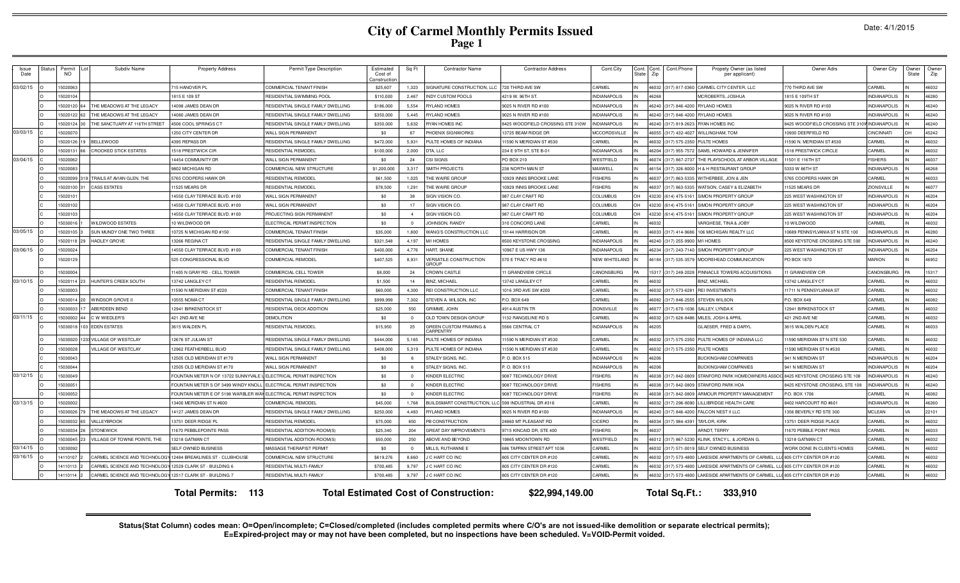# **City of Carmel Monthly Permits Issued Page 1**

| Issue<br>Date | Status | Permit<br>NO | Subdiv Name                   | <b>Property Address</b>                                            | Permit Type Description            | Estimated<br>Cost of<br>Constructio | Sq Ft          | <b>Contractor Name</b>                         | <b>Contractor Address</b>        | Cont.City           | Cont.<br><b>State</b> | Cont.<br>Zir | Cont.Phone                    | Propety Owner (as listed<br>per applicant)                                        | Owner Adrs                      | Owner City          | Owner<br>State | Owner<br>Zip |
|---------------|--------|--------------|-------------------------------|--------------------------------------------------------------------|------------------------------------|-------------------------------------|----------------|------------------------------------------------|----------------------------------|---------------------|-----------------------|--------------|-------------------------------|-----------------------------------------------------------------------------------|---------------------------------|---------------------|----------------|--------------|
| 03/02/15      |        | 5020063      |                               | 715 HANOVER PL                                                     | <b>COMMERCIAL TENANT FINISH</b>    | \$25,607                            | 1,323          | SIGNATURE CONSTRUCTION, LLC                    | 720 THIRD AVE SW                 | CARMEL              |                       |              |                               | 46032 (317) 817-0360 CARMEL CITY CENTER, LLC                                      | 770 THIRD AVE SW                | CARMEL              |                | 46032        |
|               |        | 502010       |                               | 1815 E 109 ST                                                      | RESIDENTIAL SWIMMING POOL          | \$110,000                           | 2,467          | <b>INDY CUSTOM POOLS</b>                       | 4219 W. 96TH ST.                 | <b>INDIANAPOLIS</b> |                       | 16268        |                               | MCROBERTS, JOSHUA                                                                 | 1815 E 109TH ST                 | <b>INDIANAPOLIS</b> |                | 46280        |
|               |        | 15020120     | THE MEADOWS AT THE LEGACY     | 14098 JAMES DEAN DR                                                | RESIDENTIAL SINGLE FAMILY DWELLING | \$186,000                           | 5.554          | <b>RYLAND HOMES</b>                            | 9025 N RIVER RD #100             | <b>INDIANAPOLIS</b> |                       |              |                               | 46240 (317) 846-4200 RYLAND HOMES                                                 | 9025 N RIVER RD #100            | <b>INDIANAPOLIS</b> |                | 46240        |
|               |        | 15020122     | THE MEADOWS AT THE LEGACY     | 14080 JAMES DEAN DR                                                | RESIDENTIAL SINGLE FAMILY DWELLING | \$350,000                           | 5.445          | <b>RYLAND HOMES</b>                            | 9025 N RIVER RD #100             | <b>INDIANAPOLIS</b> |                       |              |                               | 46240 (317) 846-4200 RYLAND HOMES                                                 | 9025 N RIVER RD #100            | <b>INDIANAPOLIS</b> |                | 46240        |
|               |        | 5020124      | THE SANCTUARY AT 116TH STREET | 4506 COOL SPRINGS CT                                               | RESIDENTIAL SINGLE FAMILY DWELLING | \$350,000                           | 5.632          | RYAN HOMES INC                                 | 8425 WOODFIELD CROSSING STE 310W | <b>INDIANAPOLIS</b> |                       |              | 6240 (317) 819-2623           | <b>RYAN HOMES INC</b>                                                             | 8425 WOODFIELD CROSSING STE 31  | <b>INDIANAPOLIS</b> |                | 46240        |
| 03/03/15      |        | 1502007      |                               | 1250 CITY CENTER DR                                                | WALL SIGN PERMANENT                | \$0                                 | 67             | PHOENIX SIGNWORKS                              | 3725 BEAM RIDGE DR               | <b>MCCORDSVILLE</b> |                       |              | 6055 (317) 432-4027           | <b>WILLINGHAM, TOM</b>                                                            | 10930 DEERFIELD RD              | <b>CINCINNATI</b>   |                | 45242        |
|               |        | 5020126      | <b>BELLEWOOD</b>              | 4395 REPASS DR                                                     | RESIDENTIAL SINGLE FAMILY DWELLING | \$472,000                           | 5,931          | PULTE HOMES OF INDIANA                         | 1590 N MERIDIAN ST #530          | CARMEL              |                       |              | (317) 575-2350                | <b>PULTE HOMES</b>                                                                | 11590 N. MERIDIAN ST #530       | <b>ARMEI</b>        |                | 46032        |
|               |        | 502013       | <b>CROOKED STICK ESTATES</b>  | 1518 PRESTWICK CIR                                                 | RESIDENTIAL REMODEL                | \$100,000                           | 2,000          | DTA, LLC                                       | 234 E 9TH ST, STE B-01           | <b>INDIANAPOLIS</b> |                       |              | (317) 955-7572                | SAMS, HOWARD & JENNIFER                                                           | 1518 PRESTWICK CIRCLE           | CARMEL              |                | 46032        |
| 03/04/15      |        | 502006       |                               | 14454 COMMUNITY DR                                                 | WALL SIGN PERMANENT                | \$0                                 | 24             | CSI SIGNS                                      | PO BOX 210                       | WESTFIELD           |                       |              | (317) 867-2737                | THE PLAYSCHOOL AT ARBOR VILLAGE                                                   | 11501 E 116TH ST                | <b>ISHERS</b>       |                | 46037        |
|               |        | 5020083      |                               | 9802 MICHIGAN RD                                                   | COMMERCIAL NEW STRUCTURE           | \$1,200,000                         | 3,317          | SMITH PROJECTS                                 | 238 NORTH MAIN ST                | MAXWELL             |                       |              | 6154 (317) 326-8000           | H & H RESTAURANT GROUP                                                            | 5333 W 86TH ST                  | <b>INDIANAPOLIS</b> |                | 46268        |
|               |        | 5020099      | 19 TRAILS AT AVIAN GLEN. THE  | 5765 COOPERS HAWK DF                                               | <b>RESIDENTIAL REMODEL</b>         | \$61,500                            | 1.025          | <b>HE WAIRE GROUP</b>                          | 0929 INNIS BROOKE LANE           | <b>ISHERS</b>       |                       |              | (317) 863-5335                | WITHERBEE, JON & JEN                                                              | 5765 COOPERS HAWK DR            | CARMEL              |                | 46033        |
|               |        | 5020100      | <b>CASS ESTATES</b>           | 11525 MEARS DR                                                     | <b>RESIDENTIAL REMODEL</b>         | \$78,500                            | 1.291          | <b>HE WAIRE GROUP</b>                          | 0929 INNIS BROOKE LANE           | <b>ISHERS</b>       |                       |              | (317) 863-5335                | WATSON, CASEY & ELIZABETH                                                         | 1525 MEARS DR                   | <b>ZIONSVILLE</b>   |                | 46077        |
|               |        | 502010       |                               | 14550 CLAY TERRACE BLVD. #100                                      | WALL SIGN PERMANENT                | \$0                                 | 38             | SIGN VISION CO.                                | 87 CLAY CRAFT RD                 | COLUMBUS            |                       |              | 3230 (614) 475-5161           | SIMON PROPERTY GROUP                                                              | 225 WEST WASHINGTON ST          | <b>INDIANAPOLIS</b> |                | 46204        |
|               |        | 5020102      |                               | 14550 CLAY TERRACE BLVD. #100                                      | WALL SIGN PERMANENT                | \$0                                 | 17             | SIGN VISION CO                                 | 987 CLAY CRAFT RD                | COLUMBUS            | OH                    |              | 43230 (614) 475-5161          | SIMON PROPERTY GROUP                                                              | 225 WEST WASHINGTON ST          | <b>INDIANAPOLIS</b> |                | 46204        |
|               |        | 5020103      |                               | 14550 CLAY TERRACE BLVD. #100                                      | PROJECTING SIGN PERMANENT          | \$0                                 | $\overline{4}$ | SIGN VISION CO.                                | 987 CLAY CRAFT RD                | <b>COLUMBUS</b>     | <b>OH</b>             |              | 43230 (614) 475-5161          | SIMON PROPERTY GROUP                                                              | 225 WEST WASHINGTON ST          | <b>INDIANAPOLIS</b> |                | 46204        |
|               |        | 5030016      | <b>WILDWOOD ESTATES</b>       | 10 WILDWOOD DR                                                     | ELECTRICAL PERMIT/INSPECTION       | \$0                                 | $\mathbf{0}$   | JOHNSON, RANDY                                 | 310 CONCORD LANE                 | CARMEL              |                       | 32031        |                               | VARGHESE, TINA & JOBY                                                             | 10 WILDWOOD                     | CARMEL              |                | 46032        |
| 03/05/15      |        | 15020105     | SUN MUNDY ONE TWO THREE       | 10725 N MICHIGAN RD #150                                           | <b>COMMERCIAL TENANT FINISH</b>    | \$35,000                            | 1,800          | WANG'S CONSTRUCTION LLC                        | 13144 HARRISON DR                | CARMEL              |                       |              |                               | 46033 (317) 414-9686 106 MICHIGAN REALTY LLC                                      | 10689 PENNSYLVANIA ST N STE 100 | <b>INDIANAPOLIS</b> |                | 46280        |
|               |        | 5020118      | <b>HADLEY GROVE</b>           | 13266 REGINA CT                                                    | RESIDENTIAL SINGLE FAMILY DWELLING | \$321,548                           | 4.197          | M/I HOMES                                      | 8500 KEYSTONE CROSSING           | <b>INDIANAPOLIS</b> |                       |              | 6240 (317) 255-9900 M/I HOMES |                                                                                   | 8500 KEYSTONE CROSSING STE 590  | <b>INDIANAPOLIS</b> |                | 46240        |
| 03/06/15      |        | 15020024     |                               | 14550 CLAY TERRACE BLVD. #100                                      | <b>COMMERCIAL TENANT FINISH</b>    | \$400,000                           | 4.776          | HART. SHANE                                    | 0967 E US HWY 136                | <b>INDIANAPOLIS</b> |                       |              | 46234 (317) 243-7140          | SIMON PROPERTY GROUP                                                              | 225 WEST WASHINGTON ST          | <b>INDIANAPOLIS</b> |                | 46204        |
|               |        | 5020129      |                               | 525 CONGRESSIONAL BLVD                                             | <b>COMMERCIAL REMODEL</b>          | \$407,525                           | 8,931          | <b>VERSATILE CONSTRUCTION</b><br>GROUP         | 570 E TRACY RD #610              | NEW WHITELAND       |                       |              | 46184 (317) 535-3579          | MOOREHEAD COMMUNICATION                                                           | PO BOX 1870                     | <b>MARION</b>       |                | 46952        |
|               |        | 5030004      |                               | 11405 N GRAY RD - CELL TOWER                                       | COMMERCIAL CELL TOWER              | \$8,000                             | 24             | CROWN CASTLE                                   | 1 GRANDVIEW CIRCLE               | CANONSBURG          |                       |              | 5317 (317) 249-2028           | PINNACLE TOWERS ACQUISITIONS                                                      | 1 GRANDVIEW CIR                 | CANONSBURG          |                | 15317        |
| 03/10/15      |        | 5020114      | HUNTER'S CREEK SOUTH          | 13742 LANGLEY CT                                                   | RESIDENTIAL REMODEL                | \$1,500                             | 14             | <b>BINZ, MICHAEL</b>                           | 3742 LANGLEY CT                  | CARMEL              |                       |              |                               | <b>BINZ, MICHAEL</b>                                                              | 13742 LANGLEY CT                | CARMEL              |                | 46032        |
|               |        | 5030003      |                               | 11590 N MERIDIAN ST #220                                           | <b>COMMERCIAL TENANT FINISH</b>    | \$60,000                            | 4.300          | REI CONSTRUCTION LLC                           | 1016 3RD AVE SW #200             | CARMEL              |                       |              |                               | 6032 (317) 573-6281 REI INVESTMENTS                                               | 11711 N PENNSYLVANIA ST         | CARMEL              |                | 46032        |
|               |        |              | 5030014 20 WINDSOR GROVE II   | 10555 NOMA CT                                                      | RESIDENTIAL SINGLE FAMILY DWELLING | \$999,999                           | 7.302          | STEVEN A. WILSON, INC                          | P.O. BOX 649                     | CARMEL              |                       |              | 6082 (317) 846-2555           | <b>STEVEN WILSON</b>                                                              | P.O. BOX 649                    | CARMEL              |                | 46082        |
|               |        | 15030033     | ABERDEEN BEND                 | 12941 BIRKENSTOCK ST                                               | RESIDENTIAL DECK ADDITION          | \$25,000                            | 550            | GRIMME, JOHN                                   | 4914 AUSTIN TR                   | ZIONSVILLE          |                       |              |                               | 46077 (317) 670-1036 SALLEY, LYNDA K                                              | 12941 BIRKENSTOCK ST            | CARMEL              |                | 46032        |
| 03/11/15      |        | 5030002      | C W WIEDLER'S                 | 421 2ND AVE NE                                                     | <b>DEMOLITION</b>                  | \$0                                 | $\Omega$       | OLD TOWN DESIGN GROUP                          | 132 RANGELINE RD S               | CARMEL              |                       |              | 6032 (317) 626-8486           | MILES, JOSH & APRIL                                                               | 421 2ND AVE NE                  | CARMEL              |                | 46032        |
|               |        | 15030018     | 03 EDEN ESTATES               | 3615 WALDEN PL                                                     | <b>RESIDENTIAL REMODEL</b>         | \$15,950                            | 25             | <b>GREEN CUSTOM FRAMING &amp;</b><br>CARPENTRY | 5566 CENTRAL CT                  | <b>INDIANAPOLIS</b> |                       | 1620         |                               | GLAESER, FRED & DARYL                                                             | 3615 WALDEN PLACE               | CARMEL              |                | 46033        |
|               |        | 5030020      | 233 VILLAGE OF WESTCLAY       | 12676 ST JULIAN ST                                                 | RESIDENTIAL SINGLE FAMILY DWELLING | \$444,000                           | 5.165          | PULTE HOMES OF INDIANA                         | 1590 N MERIDIAN ST #530          | CARMEL              |                       |              | 6032 (317) 575-2350           | PULTE HOMES OF INDIANA LLC                                                        | 11590 MERIDIAN ST N STE 530     | CARMEL              |                | 46032        |
|               |        | 503002       | VILLAGE OF WESTCLAY           | 12962 FEATHERBELL BLVD                                             | RESIDENTIAL SINGLE FAMILY DWELLING | \$408,000                           | 5.319          | PULTE HOMES OF INDIANA                         | 1590 N MERIDIAN ST #530          | CARMEL              |                       |              | 6032 (317) 575-2350           | PULTE HOMES                                                                       | 1590 MERIDIAN ST N #530         | CARMEL              |                | 46032        |
|               |        | 5030043      |                               | 12505 OLD MERIDIAN ST #170                                         | <b>WALL SIGN PERMANENT</b>         | \$0                                 | $\epsilon$     | STALEY SIGNS, INC                              | P.O. BOX 515                     | <b>INDIANAPOLIS</b> |                       | 16206        |                               | <b>BUCKINGHAM COMPANIES</b>                                                       | 941 N MERIDIAN ST               | <b>INDIANAPOLIS</b> |                | 46204        |
|               |        | 5030044      |                               | 12505 OLD MERIDIAN ST #170                                         | WALL SIGN PERMANENT                | \$0                                 | 6              | STALEY SIGNS, INC.                             | P.O. BOX 515                     | <b>INDIANAPOLIS</b> |                       | <b>LG20F</b> |                               | <b>BUCKINGHAM COMPANIES</b>                                                       | 941 N MERIDIAN ST               | <b>INDIANAPOLIS</b> |                | 46204        |
| 03/12/15      |        | 5030049      |                               | FOUNTAIN METER N OF 13722 SUNNYVALE L ELECTRICAL PERMIT/INSPECTION |                                    | \$0                                 | $\Omega$       | KINDER ELECTRIC                                | 9087 TECHNOLOGY DRIVE            | <b>FISHERS</b>      |                       |              |                               | 6038 (317) 842-0809 STANFORD PARK HOMEOWNERS ASSOC 8425 KEYSTONE CROSSING STE 108 |                                 | <b>INDIANAPOLIS</b> |                | 46240        |
|               |        | 1503005      |                               | FOUNTAIN METER S OF 3499 WINDY KNOLL ELECTRICAL PERMIT/INSPECTION  |                                    | \$0                                 | $\Omega$       | <b>KINDER ELECTRIC</b>                         | 9087 TECHNOLOGY DRIVE            | <b>FISHERS</b>      |                       |              |                               | 46038 (317) 842-0809 STANFORD PARK HOA                                            | 8425 KEYSTONE CROSSING, STE 108 | <b>INDIANAPOLIS</b> |                | 46240        |
|               |        | 5030052      |                               | FOUNTAIN METER E OF 5198 WARBLER WAY ELECTRICAL PERMIT/INSPECTION  |                                    | \$0                                 | $^{\circ}$     | <b>KINDER ELECTRIC</b>                         | 9087 TECHNOLOGY DRIVE            | <b>FISHERS</b>      |                       |              | (317) 842-0809                | ARMOUR PROPERTY MANAGEMENT                                                        | P.O. BOX 1706                   | CARMEL              |                | 46082        |
| 03/13/15      |        | 502000       |                               | 13400 MERIDIAN ST N #600                                           | COMMERCIAL REMODEL                 | \$45,000                            | 1,768          | BUILDSMART CONSTRUCTION, LL                    | 599 INDUSTRIAL DR #316           | CARMEL              |                       |              | 6032 (317) 296-8090           | LILLIBRIDGE HEALTH CARE                                                           | 8402 HARCOURT RD #601           | <b>INDIANAPOLIS</b> |                | 46260        |
|               |        | 5030026      | THE MEADOWS AT THE LEGACY     | 14127 JAMES DEAN DR                                                | RESIDENTIAL SINGLE FAMILY DWELLING | \$250,000                           | 4.483          | <b>RYLAND HOMES</b>                            | 9025 N RIVER RD #100             | <b>INDIANAPOLIS</b> |                       |              |                               | 6240 (317) 846-4200 FALCON NEST II LLC                                            | 1356 BEVERLY RD STE 300         | <b>MCLEAN</b>       | VA             | 22101        |
|               |        | 15030033     | VALLEYBROOK                   | 13751 DEER RIDGE PL                                                | <b>RESIDENTIAL REMODEL</b>         | \$75,000                            | 650            | PB CONSTRUCTION                                | 24860 MT PLEASANT RD             | <b>CICERO</b>       |                       |              | 46034 (317) 984-4391          | <b>TAYLOR, KIRK</b>                                                               | 13751 DEER RIDGE PLACE          | CARMEI              |                | 46032        |
|               |        | 15030034     | <b>STONEWICK</b>              | 11670 PEBBLEPOINTE PASS                                            | RESIDENTIAL ADDITION-ROOM(S        | \$25,340                            | 204            | <b>GREAT DAY IMPROVEMENTS</b>                  | 9715 KINCAID DR, STE 400         | <b>FISHERS</b>      |                       |              |                               | <b>ARNDT, TERRY</b>                                                               | 11670 PEBBLE POINT PASS         | CARMEL              |                | 46033        |
|               |        | 15030045     | VILLAGE OF TOWNE POINTE, THE  | 13218 GATMAN CT                                                    | RESIDENTIAL ADDITION-ROOM(S        | \$50,000                            | 250            | ABOVE AND BEYOND                               | 9865 MOONTOWN RD                 | WESTFIELD           |                       |              |                               | 6012 (317) 867-5230 KLINK, STACY L. & JORDAN G.                                   | 13218 GATMAN CT                 | CARMEL              |                | 46032        |
| 03/14/15      |        | 30300        |                               | SELF OWNED BUSINESS                                                | MASSAGE THERAPIST PERMIT           | \$0                                 | $^{\circ}$     | MILLS, RUTHANNE                                | 686 TAPPAN STREET APT 1036       | CARMEL              |                       |              | 6032 (317) 571-0019           | SELF OWNED BUSINESS                                                               | WORK DONE IN CLIENTS HOMES      | CARMEL              |                | 46032        |
| 03/16/15      |        | 4110107      | CARMEL SCIENCE AND TECHNOLO   | 12484 BREAKLINES ST - CLUBHOUSE                                    | COMMERCIAL NEW STRUCTURE           | \$619,276                           | 8.660          | C HART CO INC                                  | 805 CITY CENTER DR #120          | CARMEL              |                       |              | (317) 573-4800                | LAKESIDE APARTMENTS OF CARMEL                                                     | 805 CITY CENTER DR #120         | CARMEL              |                | 46032        |
|               |        | 4110113      | CARMEL SCIENCE AND TECHNOLOG  | 12529 CLARK ST - BUILDING 6                                        | RESIDENTIAL MULTI-FAMILY           | \$700,485                           | 9,797          | C HART CO INC                                  | 805 CITY CENTER DR #120          | CARMEL              |                       |              | 6032 (317) 573-4800           | LAKESIDE APARTMENTS OF CARMEL,                                                    | LLC 805 CITY CENTER DR #120     | CARMEL              |                | 46032        |
|               |        | 4110114      | CARMEL SCIENCE AND TECHNOLOG  | 12517 CLARK ST - BUILDING                                          | RESIDENTIAL MULTI-FAMILY           | \$700,485                           | 9,797          | <b>CHART COINC</b>                             | 805 CITY CENTER DR #120          | CARMEL              |                       |              |                               | 6032 (317) 573-4800 LAKESIDE APARTMENTS OF CARMEL,                                | LLC 805 CITY CENTER DR #120     | CARMEL              |                | 46032        |
|               |        |              |                               | <b>Total Permits: 113</b>                                          |                                    |                                     |                | <b>Total Estimated Cost of Construction:</b>   | \$22,994,149.00                  |                     |                       |              | Total Sq.Ft.:                 | 333,910                                                                           |                                 |                     |                |              |

Status(Stat Column) codes mean: O=Open/incomplete; C=Closed/completed (includes completed permits where C/O's are not issued-like demolition or separate electrical permits); **E=Expired-project may or may not have been completed, but no inspections have been scheduled. V=VOID-Permit voided.**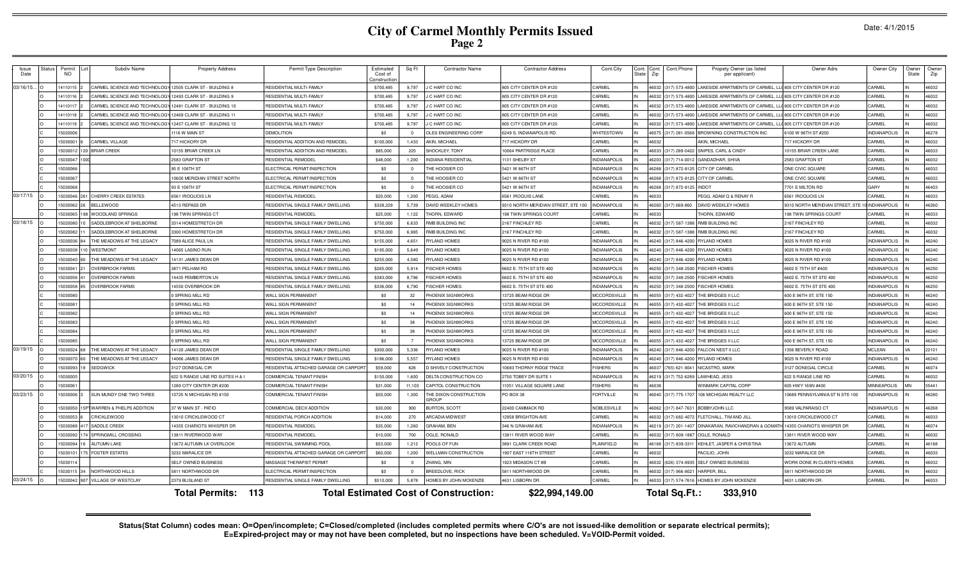# **City of Carmel Monthly Permits Issued Page 2**

| Date: 4/1/2015 |  |  |  |
|----------------|--|--|--|
|----------------|--|--|--|

| <b>Issue</b><br>Date | status | Permit<br><b>NO</b> | Subdiv Name                  | <b>Property Address</b>          | Permit Type Description                | Estimated<br>Cost of<br>constructio | Sq Ft      | <b>Contractor Name</b>                       | <b>Contractor Address</b>           | Cont.City           | Cont. Cont<br>State | Cont.Phone<br>Zip      | Propety Owner (as listed<br>per applicant) | Owner Adrs                        | Owner City          | Owner<br>State | Owner<br>Zip |
|----------------------|--------|---------------------|------------------------------|----------------------------------|----------------------------------------|-------------------------------------|------------|----------------------------------------------|-------------------------------------|---------------------|---------------------|------------------------|--------------------------------------------|-----------------------------------|---------------------|----------------|--------------|
| 03/16/15.            |        | 1411011             | ARMEL SCIENCE AND TECHNOLOG  | 12505 CLARK ST - BUILDING 8      | RESIDENTIAL MULTI-FAMILY               | \$700,485                           | 9,797      | C HART CO INC                                | 805 CITY CENTER DR #120             | CARMEL              |                     | 6032<br>17) 573-4800   | LAKESIDE APARTMENTS OF CARMEL.             | 805 CITY CENTER DR #120           | CARMEL              |                | 46032        |
|                      |        | 1411011             | ARMEL SCIENCE AND TECHNOLOG  | 12493 CLARK ST - BUILDING 9      | <b>RESIDENTIAL MULTI-FAMILY</b>        | \$700.485                           | 9,797      | C HART CO INC                                | 805 CITY CENTER DR #120             | CARMEL              |                     | 317) 573-4800<br>16032 | AKESIDE APARTMENTS OF CARMEL.              | 805 CITY CENTER DR #120           | CARMEL              |                | 46032        |
|                      |        | 14110117            | CARMEL SCIENCE AND TECHNOLOG | 12481 CLARK ST - BUILDING 10     | <b>RESIDENTIAL MULTI-FAMILY</b>        | \$700,485                           | 9,797      | C HART CO INC                                | 805 CITY CENTER DR #120             | CARMEL              |                     | 16032<br>317) 573-4800 | LAKESIDE APARTMENTS OF CARMEL              | 805 CITY CENTER DR #120           | CARMEI              |                | 46032        |
|                      |        | 14110118            | CARMEL SCIENCE AND TECHNOLOG | 12469 CLARK ST - BUILDING 11     | RESIDENTIAL MULTI-FAMILY               | \$700,485                           | 9,797      | <b>C HART CO INC</b>                         | 805 CITY CENTER DR #120             | CARMEL              | IN                  | 16032<br>317) 573-4800 | LAKESIDE APARTMENTS OF CARMEL,             | 805 CITY CENTER DR #120           | CARMEL              |                | 46032        |
|                      |        | 14110119            | CARMEL SCIENCE AND TECHNOLOG | 12457 CLARK ST - BUILDING 12     | RESIDENTIAL MULTI-FAMILY               | \$700,485                           | 9,797      | C HART CO INC                                | 805 CITY CENTER DR #120             | CARMEL              |                     | 46032<br>317) 573-4800 | LAKESIDE APARTMENTS OF CARMEL,             | 805 CITY CENTER DR #120           | CARMEL              |                | 46032        |
|                      |        | 15020006            |                              | 1116 W MAIN ST                   | <b>DEMOLITION</b>                      | \$0                                 | $\Omega$   | OLES ENGINEERING CORP.                       | 6249 S. INDIANAPOLIS RD             | WHITESTOWN          | IN                  | 16075<br>317) 281-0568 | BROWNING CONSTRUCTION INC                  | 6100 W 96TH ST #250               | <b>INDIANAPOLIS</b> |                | 46278        |
|                      |        | 15030001            | <b>CARMEL VILLAGE</b>        | 717 HICKORY DR                   | RESIDENTIAL ADDITION AND REMODEL       | \$100,000                           | 1.433      | AKIN, MICHAEL                                | 717 HICKORY DR                      | CARMEL              |                     | 16032                  | <b>KIN, MICHAEL</b>                        | 717 HICKORY DR                    | CARMEL              |                | 46032        |
|                      |        | 1503001             | <b>BRIAR CREEK</b>           | 10155 BRIAR CREEK LN             | RESIDENTIAL ADDITION AND REMODEL       | \$85,000                            | 225        | <b>SHOCKLEY, TONY</b>                        | 10064 PARTRIDGE PLACE               | CARMEL              |                     | 16033<br>317) 289-0422 | SNIPES, CARL & CINDY                       | 10155 BRIAR CREEK LANE            | CARMEL              |                | 46033        |
|                      |        | 1503004             |                              | 2583 GRAFTON ST                  | RESIDENTIAL REMODEL                    | \$48,000                            | 1.200      | <b>INDIANA RESIDENTIAL</b>                   | 1131 SHELBY ST                      | <b>INDIANAPOLIS</b> |                     | 317) 714-001<br>1620   | <b>ANDADHAR, SHIVA</b>                     | 2583 GRAFTON ST                   | CARMEI              |                | 46032        |
|                      |        | 15030066            |                              | 95 E 106TH ST                    | ELECTRICAL PERMIT/INSPECTION           | \$0                                 | $\Omega$   | THE HOOSIER CO                               | 5421 W 86TH ST                      | <b>INDIANAPOLIS</b> |                     | 317) 872-812<br>1626   | CITY OF CARMEL                             | ONE CIVIC SQUARE                  | CARMEI              |                | 46032        |
|                      |        | 1503006             |                              | 0600 MERIDIAN STREET NORTH       | ELECTRICAL PERMIT/INSPECTION           | \$0                                 | $^{\circ}$ | THE HOOSIER CO                               | 5421 W 86TH ST                      | <b>INDIANAPOLIS</b> |                     | 6268<br>317) 872-812   | CITY OF CARMEL                             | ONE CIVIC SQUARE                  | CARMEL              |                | 46032        |
|                      |        | 1503006             |                              | 93 E 106TH ST                    | ELECTRICAL PERMIT/INSPECTION           | \$0                                 | $\Omega$   | THE HOOSIER CO                               | 5421 W 86TH S'                      | <b>INDIANAPOLIS</b> |                     | 16268<br>317) 872-812  | <b>INDOT</b>                               | 7701 E MILTON RD                  | GARY                |                | 46403        |
| 03/17/15             |        | 1503004             | CHERRY CREEK ESTATES         | 6561 IROQUOIS LN                 | RESIDENTIAL REMODEL                    | \$20,000                            | 1,200      | PEGG, ADAM                                   | 6561 IROQUIS LANE                   | CARMEL              |                     | 603                    | PEGG, ADAM Q & RENAY F                     | 6561 IROQUOIS LN                  | CARMEL              |                | 46033        |
|                      |        | 15030062            | <b>BELLEWOOD</b>             | 4513 REPASS DR                   | RESIDENTIAL SINGLE FAMILY DWELLING     | \$328,229                           | 5.739      | <b>DAVID WEEKLEY HOMES</b>                   | 9310 NORTH MERIDIAN STREET, STE 100 | <b>INDIANAPOLIS</b> |                     | 16260<br>317) 669-860  | DAVID WEEKLEY HOMES                        | 9310 NORTH MERIDIAN STREET, STE 1 | <b>INDIANAPOLIS</b> |                | 46260        |
|                      |        | 1503006             | WOODLAND SPRINGS             | 98 TWIN SPRINGS CT               | RESIDENTIAL REMODEL                    | \$25,000                            | 1.122      | THORN, EDWARD                                | 98 TWIN SPRINGS COURT               | ARMFI               |                     | <b>ENAI</b>            | HORN FDWARD                                | 198 TWIN SPRINGS COURT            | <b>CARMEL</b>       |                | 46033        |
| 03/18/15             |        | 1502008             | SADDLEBROOK AT SHELBORNE     | 3314 HOMESTRETCH DR              | RESIDENTIAL SINGLE FAMILY DWELLING     | \$750,000                           | 6.633      | RMB BUILDING INC                             | 2167 FINCHLEY RD                    | CARMEL              |                     | 317) 587-1388<br>16032 | RMB BUILDING INC                           | 2167 FINCHLEY RD                  | CARMEL              |                | 46032        |
|                      |        | 15020082            | SADDLEBROOK AT SHELBORNE     | 3300 HOMESTRETCH DR              | RESIDENTIAL SINGLE FAMILY DWELLING     | \$750,000                           | 6,985      | RMB BUILDING INC                             | 2167 FINCHLEY RD                    | CARMEL              |                     | 317) 587-1388<br>4603  | RMB Building inc                           | 2167 FINCHLEY RD                  | CARMEL              |                | 46032        |
|                      |        | 15030036            | THE MEADOWS AT THE LEGACY    | 7089 ALICE PAUL LN               | RESIDENTIAL SINGLE FAMILY DWELLING     | \$155,000                           | 4,651      | <b>RYLAND HOMES</b>                          | 9025 N RIVER RD #100                | <b>INDIANAPOLIS</b> |                     | 16240<br>317) 846-4200 | <b>TYLAND HOMES</b>                        | 9025 N RIVER RD #100              | <b>INDIANAPOLIS</b> |                | 46240        |
|                      |        | 15030038            | <b>WESTMONT</b>              | 4065 LASINO RUN                  | RESIDENTIAL SINGLE FAMILY DWELLING     | \$195,000                           | 5.649      | <b>YLAND HOMES</b>                           | 9025 N RIVER RD #100                | <b>INDIANAPOLIS</b> |                     | 46240<br>317) 846-4200 | <b>YLAND HOMES</b>                         | 9025 N RIVER RD #100              | <b>INDIANAPOLIS</b> |                | 46240        |
|                      |        | 1503004             | THE MEADOWS AT THE LEGACY    | 14131 JAMES DEAN DR              | RESIDENTIAL SINGLE FAMILY DWELLING     | \$255,000                           | 4.580      | <b>IYLAND HOMES</b>                          | 9025 N RIVER RD #100                | <b>INDIANAPOLIS</b> |                     | 16240<br>17) 846-4200  | YLAND HOMES                                | 9025 N RIVER RD #100              | <b>INDIANAPOLIS</b> |                | 46240        |
|                      |        | 1503004             | <b>OVERBROOK FARMS</b>       | 3871 PELHAM RD                   | RESIDENTIAL SINGLE FAMILY DWELLING     | \$265,000                           | 5,914      | <b>ISCHER HOMES</b>                          | 6602 E. 75TH ST STE 400             | <b>INDIANAPOLIS</b> |                     | 46250<br>317) 348-250  | <b>ISCHER HOMES</b>                        | 6602 E 75TH ST #400               | <b>INDIANAPOLIS</b> |                | 46250        |
|                      |        | 15030056            | <b>OVERBROOK FARMS</b>       | 4435 PEMBERTON LN                | RESIDENTIAL SINGLE FAMILY DWELLING     | \$383,000                           | 8.796      | <b>ISCHER HOMES</b>                          | 6602 E. 75TH ST STE 400             | <b>INDIANAPOLIS</b> |                     | 16250<br>317) 348-2500 | <b>ISCHER HOMES</b>                        | 6602 E. 75TH ST STE 400           | <b>INDIANAPOLIS</b> |                | 46250        |
|                      |        | 1503005             | <b>OVERBROOK FARMS</b>       | 14550 OVERBROOK DR               | RESIDENTIAL SINGLE FAMILY DWELLING     | \$336,000                           | 6,790      | <b>ISCHER HOMES</b>                          | 6602 E. 75TH ST STE 400             | <b>INDIANAPOLIS</b> |                     | 16250<br>317) 348-250  | <b>ISCHER HOMES</b>                        | 6602 E. 75TH ST STE 400           | <b>INDIANAPOLIS</b> |                | 46250        |
|                      |        | 1503008             |                              | 0 SPRING MILL RD                 | WALL SIGN PERMANENT                    | \$0                                 | 32         | <b>PHOENIX SIGNWORKS</b>                     | 13725 BEAM RIDGE DR                 | <b>MCCORDSVILLE</b> |                     | 317) 432-402<br>6055   | THE BRIDGES II LLC                         | 600 E 96TH ST, STE 150            | <b>INDIANAPOLIS</b> |                | 46240        |
|                      |        | 1503008             |                              | <b>SPRING MILL RD</b>            | <b>WALL SIGN PERMANENT</b>             | \$0                                 | 14         | <b>PHOENIX SIGNWORKS</b>                     | 13725 BEAM RIDGE DR                 | <b>MCCORDSVILLE</b> |                     | 4605<br>17) 432-402    | HE BRIDGES II LLC                          | 600 E 96TH ST, STE 150            | <b>INDIANAPOLIS</b> |                | 46240        |
|                      |        | 1503008             |                              | <b>SPRING MILL RD</b>            | <b><i>NALL SIGN PERMANENT</i></b>      | \$0                                 | 14         | <b>HOENIX SIGNWORKS</b>                      | 13725 BEAM RIDGE DR                 | <b>MCCORDSVILLE</b> |                     | 17) 432-402<br>1605    | THE BRIDGES II LLC                         | 600 E 96TH ST, STE 150            | <b>INDIANAPOLIS</b> |                | 46240        |
|                      |        | 15030083            |                              | <b>SPRING MILL RD</b>            | <b><i>NALL SIGN PERMANENT</i></b>      | \$0                                 | 38         | <b>HOENIX SIGNWORKS</b>                      | 3725 BEAM RIDGE DR                  | <b>MCCORDSVILLE</b> |                     | 16055<br>17) 432-402   | HE BRIDGES II LLC                          | 600 E 96TH ST, STE 150            | NDIANAPOLIS         |                | 46240        |
|                      |        | 15030084            |                              | SPRING MILL RD                   | <b><i>NALL SIGN PERMANENT</i></b>      | \$0                                 | 38         | <b>HOENIX SIGNWORKS</b>                      | 3725 BEAM RIDGE DR                  | <b>MCCORDSVILLE</b> |                     | 6055<br>17) 432-402    | THE BRIDGES II LLC                         | 600 E 96TH ST, STE 150            | NDIANAPOLIS         |                | 46240        |
|                      |        | 15030085            |                              | <b>SPRING MILL RD</b>            | <b>WALL SIGN PERMANENT</b>             | \$0                                 |            | <b>HOENIX SIGNWORKS</b>                      | 13725 BEAM RIDGE DR                 | <b>MCCORDSVILLE</b> |                     | 6055<br>317) 432-402   | THE BRIDGES II LLC                         | 600 E 96TH ST, STE 150            | <b>INDIANAPOLIS</b> |                | 46240        |
| 03/19/15             |        | 15030024            | HE MEADOWS AT THE LEGACY     | 14120 JAMES DEAN DR              | RESIDENTIAL SINGLE FAMILY DWELLING     | \$300,000                           | 5,336      | <b>RYLAND HOMES</b>                          | 9025 N RIVER RD #100                | <b>INDIANAPOLIS</b> |                     | 317) 846-4200<br>4624  | FALCON NEST II LLC                         | 1356 BEVERLY ROAD                 | <b>MCLEAN</b>       |                | 22101        |
|                      |        | 15030070            | THE MEADOWS AT THE LEGACY    | 14066 JAMES DEAN DR              | RESIDENTIAL SINGLE FAMILY DWELLING     | \$186,000                           | 5,557      | YLAND HOMES                                  | 9025 N RIVER RD #100                | <b>INDIANAPOLIS</b> |                     | 16240<br>317) 846-4200 | <b>TYLAND HOMES</b>                        | 9025 N RIVER RD #100              | <b>INDIANAPOLIS</b> |                | 46240        |
|                      |        | 15030093            | <b>SEDGWICK</b>              | 3127 DONEGAL CIR                 | RESIDENTIAL ATTACHED GARAGE OR CARPOR  | \$59,000                            | 626        | <b>SHIVELY CONSTRUCTION</b>                  | 10683 THORNY RIDGE TRACE            | <b>FISHERS</b>      |                     | 16037<br>765) 621-904  | NICASTRO, MARK                             | 3127 DONEGAL CIRCLE               | CARMEL              |                | 46074        |
| 03/20/15             |        | 15030005            |                              | 622 S RANGE LINE RD SUITES H & I | COMMERCIAL TENANT FINISH               | \$150,000                           | 1.600      | DELTA CONSTRUCTION CO                        | 2750 TOBEY DR SUITE 1               | <b>INDIANAPOLIS</b> |                     | 16219<br>317) 752-6289 | LAWHEAD, JESS                              | 622 S RANGE LINE RD               | CARMEL              |                | 46032        |
|                      |        | 1503006             |                              | 1289 CITY CENTER DR #200         | COMMERCIAL TENANT FINISH               | \$31,000                            | 11,103     | CAPITOL CONSTRUCTION                         | 11051 VILLAGE SQUARE LANE           | <b>FISHERS</b>      | IN                  | 1603                   | VINMARK CAPITAL COR                        | 605 HWY 169N #400                 | <b>MINNEAPOLIS</b>  |                | 55441        |
| 03/23/15             |        | 15030006            | SUN MUNDY ONE TWO THREE      | 0725 N MICHIGAN RD #150          | <b>COMMERCIAL TENANT FINISH</b>        | \$50,000                            | 1,300      | THE DIXON CONSTRUCTION<br>GROUP              | PO BOX 38                           | <b>FORTVILLE</b>    |                     | 16040<br>317) 775-1707 | 106 MICHIGAN REALTY LLC                    | 10689 PENNSYLVANIA ST N STE 100   | <b>INDIANAPOLIS</b> |                | 46280        |
|                      |        | 15030050            | WARREN & PHELPS ADDITION     | 37 W MAIN ST - PATIO             | COMMERCIAL DECK ADDITION               | \$30,000                            | 900        | <b>BURTON, SCOTT</b>                         | 22400 CAMMACK RD                    | NOBI ESVILLE        |                     | 317) 847-7631<br>16062 | BORRY JOHN LLC                             | 9589 VALPARAISO CT                | NDIANAPOLIS         |                | 46268        |
|                      |        | 15030053            | CRICKLEWOOD                  | 13010 CRICKI EWOOD CT            | <b>RESIDENTIAL PORCH ADDITION</b>      | \$14,000                            | 270        | ARCADIA MIDWEST                              | 2958 BRIGHTON AVE                   | ARMFI               |                     | 16032<br>317) 682-4072 | I FTCHALL TIM AND JILL                     | 13010 CRICKLEWOOD CT              | <b>CARMEL</b>       |                | 46033        |
|                      |        | 15030088            | SADDLE CREEK                 | 4355 CHARIOTS WHISPER DR         | RESIDENTIAL REMODEL                    | \$35,000                            | 1,260      | GRAHAM, BEN                                  | 346 N GRAHAM AVE                    | <b>INDIANAPOLIS</b> |                     | 317) 201-1407<br>1621  | <b>DINAKARAN, RAVICHANDRAN &amp; GOMA</b>  | 14355 CHARIOTS WHISPER DR         | CARMEL              |                | 46074        |
|                      |        | 15030092            | SPRINGMILL CROSSING          | 13811 RIVERWOOD WAY              | RESIDENTIAL REMODEL                    | \$10,000                            | 700        | OGLE, RONALD                                 | 13811 RIVER WOOD WAY                | CARMEL              |                     | 317) 809-1887<br>16032 | OGLE, RONALD                               | 13811 RIVER WOOD WAY              | CARMEL              |                | 46032        |
|                      |        | 15030094            | <b>AUTUMN LAKE</b>           | 13672 AUTUMN LK OVERLOOK         | RESIDENTIAL SWIMMING POOL              | \$53,000                            | 1.212      | POOLS OF FUN                                 | 3891 CLARK CREEK ROAD               | PLAINFIELD          | IN                  | 46168<br>317) 839-3311 | KEHLET, JASPER & CHRISTINA                 | 13672 AUTUMN                      | CARMEL              |                | 46168        |
|                      |        | 1503010             | <b>FOSTER ESTATES</b>        | 3232 MARALICE DR                 | RESIDENTIAL ATTACHED GARAGE OR CARPORT | \$60,000                            | 1,200      | <b>WELLMAN CONSTRUCTION</b>                  | 1907 EAST 116TH STREET              | CARMEL              |                     | 16032                  | ACILIO, JOHN                               | 3232 MARALICE DF                  | CARMEL              |                | 46033        |
|                      |        | 1503011             |                              | SELF OWNED BUSINESS              | MASSAGE THERAPIST PERMIT               | \$0                                 | $\Omega$   | ZHANG, MIN                                   | 1923 MIDASON CT #B                  | CARMEL              | IN                  | 16032<br>626) 374-893  | <b>SELF OWNED BUSINESS</b>                 | WORK DONE IN CLIENTS HOMES        | CARMEL              |                | 46032        |
|                      |        | 1503011             | <b>JORTHWOOD HILLS</b>       | 5811 NORTHWOOD DR                | ELECTRICAL PERMIT/INSPECTION           | \$0                                 | $\Omega$   | <b>BREEDLOVE, RICK</b>                       | 5811 NORTHWOOD DR                   | CARMEI              |                     | 16032<br>317) 966-802  | <b>IARPER, BILL</b>                        | 5811 NORTHWOOD DF                 | CARMEI              |                | 46032        |
| 03/24/15             |        | 1502004             | VILLAGE OF WESTCLAY          | 2379 BLISLAND ST                 | RESIDENTIAL SINGLE FAMILY DWELLING     | \$510,000                           | 5.878      | HOMES BY JOHN MCKENZIE                       | 4631 LISBORN DR                     | CARMEL              | IN                  | 317) 574-7616<br>16033 | HOMES BY JOHN MCKENZIE                     | 4631 LISBORN DR                   | CARMEL              |                | 46033        |
|                      |        |                     |                              | - 113<br><b>Total Permits:</b>   |                                        |                                     |            | <b>Total Estimated Cost of Construction:</b> | \$22,994,149.00                     |                     |                     | Total Sq.Ft.:          | 333,910                                    |                                   |                     |                |              |

Status(Stat Column) codes mean: O=Open/incomplete; C=Closed/completed (includes completed permits where C/O's are not issued-like demolition or separate electrical permits);<br>E=Expired-project may or may not have been compl